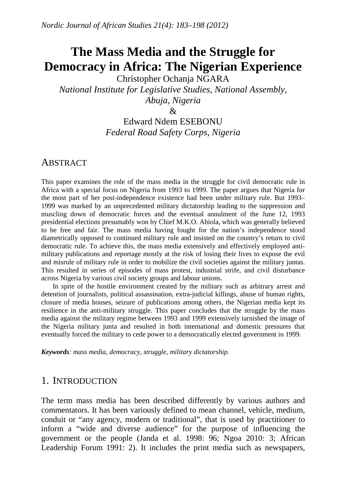# **The Mass Media and the Struggle for Democracy in Africa: The Nigerian Experience**

Christopher Ochanja NGARA *National Institute for Legislative Studies, National Assembly, Abuja, Nigeria* 

 $\mathcal{R}$ 

# Edward Ndem ESEBONU *Federal Road Safety Corps, Nigeria*

### **ABSTRACT**

This paper examines the role of the mass media in the struggle for civil democratic rule in Africa with a special focus on Nigeria from 1993 to 1999. The paper argues that Nigeria for the most part of her post-independence existence had been under military rule. But 1993– 1999 was marked by an unprecedented military dictatorship leading to the suppression and muscling down of democratic forces and the eventual annulment of the June 12, 1993 presidential elections presumably won by Chief M.K.O. Abiola, which was generally believed to be free and fair. The mass media having fought for the nation's independence stood diametrically opposed to continued military rule and insisted on the country's return to civil democratic rule. To achieve this, the mass media extensively and effectively employed antimilitary publications and reportage mostly at the risk of losing their lives to expose the evil and misrule of military rule in order to mobilize the civil societies against the military juntas. This resulted in series of episodes of mass protest, industrial strife, and civil disturbance across Nigeria by various civil society groups and labour unions.

In spite of the hostile environment created by the military such as arbitrary arrest and detention of journalists, political assassination, extra-judicial killings, abuse of human rights, closure of media houses, seizure of publications among others, the Nigerian media kept its resilience in the anti-military struggle. This paper concludes that the struggle by the mass media against the military regime between 1993 and 1999 extensively tarnished the image of the Nigeria military junta and resulted in both international and domestic pressures that eventually forced the military to cede power to a democratically elected government in 1999.

*Keywords: mass media, democracy, struggle, military dictatorship.* 

# 1. INTRODUCTION

The term mass media has been described differently by various authors and commentators. It has been variously defined to mean channel, vehicle, medium, conduit or "any agency, modern or traditional", that is used by practitioner to inform a "wide and diverse audience" for the purpose of influencing the government or the people (Janda et al. 1998: 96; Ngoa 2010: 3; African Leadership Forum 1991: 2). It includes the print media such as newspapers,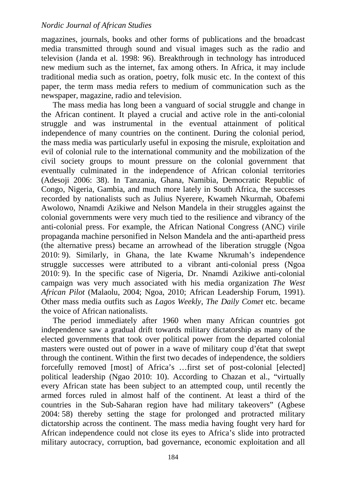magazines, journals, books and other forms of publications and the broadcast media transmitted through sound and visual images such as the radio and television (Janda et al. 1998: 96). Breakthrough in technology has introduced new medium such as the internet, fax among others. In Africa, it may include traditional media such as oration, poetry, folk music etc. In the context of this paper, the term mass media refers to medium of communication such as the newspaper, magazine, radio and television.

The mass media has long been a vanguard of social struggle and change in the African continent. It played a crucial and active role in the anti-colonial struggle and was instrumental in the eventual attainment of political independence of many countries on the continent. During the colonial period, the mass media was particularly useful in exposing the misrule, exploitation and evil of colonial rule to the international community and the mobilization of the civil society groups to mount pressure on the colonial government that eventually culminated in the independence of African colonial territories (Adesoji 2006: 38). In Tanzania, Ghana, Namibia, Democratic Republic of Congo, Nigeria, Gambia, and much more lately in South Africa, the successes recorded by nationalists such as Julius Nyerere, Kwameh Nkurmah, Obafemi Awolowo, Nnamdi Azikiwe and Nelson Mandela in their struggles against the colonial governments were very much tied to the resilience and vibrancy of the anti-colonial press. For example, the African National Congress (ANC) virile propaganda machine personified in Nelson Mandela and the anti-apartheid press (the alternative press) became an arrowhead of the liberation struggle (Ngoa 2010: 9). Similarly, in Ghana, the late Kwame Nkrumah's independence struggle successes were attributed to a vibrant anti-colonial press (Ngoa 2010: 9). In the specific case of Nigeria, Dr. Nnamdi Azikiwe anti-colonial campaign was very much associated with his media organization *The West African Pilot* (Malaolu, 2004; Ngoa, 2010; African Leadership Forum, 1991). Other mass media outfits such as *Lagos Weekly, The Daily Comet* etc. became the voice of African nationalists.

The period immediately after 1960 when many African countries got independence saw a gradual drift towards military dictatorship as many of the elected governments that took over political power from the departed colonial masters were ousted out of power in a wave of military coup d'état that swept through the continent. Within the first two decades of independence, the soldiers forcefully removed [most] of Africa's …first set of post-colonial [elected] political leadership (Ngao 2010: 10). According to Chazan et al., "virtually every African state has been subject to an attempted coup, until recently the armed forces ruled in almost half of the continent. At least a third of the countries in the Sub-Saharan region have had military takeovers" (Agbese 2004: 58) thereby setting the stage for prolonged and protracted military dictatorship across the continent. The mass media having fought very hard for African independence could not close its eyes to Africa's slide into protracted military autocracy, corruption, bad governance, economic exploitation and all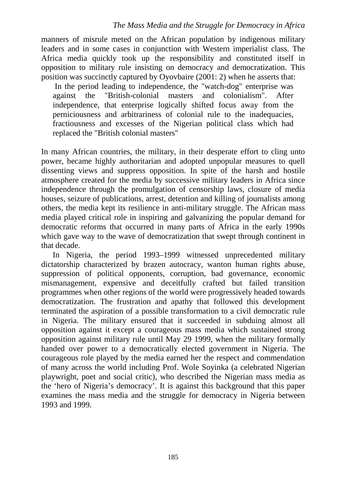manners of misrule meted on the African population by indigenous military leaders and in some cases in conjunction with Western imperialist class. The Africa media quickly took up the responsibility and constituted itself in opposition to military rule insisting on democracy and democratization. This position was succinctly captured by Oyovbaire (2001: 2) when he asserts that:

 In the period leading to independence, the "watch-dog" enterprise was against the "British-colonial masters and colonialism". After independence, that enterprise logically shifted focus away from the perniciousness and arbitrariness of colonial rule to the inadequacies, fractiousness and excesses of the Nigerian political class which had replaced the "British colonial masters"

In many African countries, the military, in their desperate effort to cling unto power, became highly authoritarian and adopted unpopular measures to quell dissenting views and suppress opposition. In spite of the harsh and hostile atmosphere created for the media by successive military leaders in Africa since independence through the promulgation of censorship laws, closure of media houses, seizure of publications, arrest, detention and killing of journalists among others, the media kept its resilience in anti-military struggle. The African mass media played critical role in inspiring and galvanizing the popular demand for democratic reforms that occurred in many parts of Africa in the early 1990s which gave way to the wave of democratization that swept through continent in that decade.

In Nigeria, the period 1993–1999 witnessed unprecedented military dictatorship characterized by brazen autocracy, wanton human rights abuse, suppression of political opponents, corruption, bad governance, economic mismanagement, expensive and deceitfully crafted but failed transition programmes when other regions of the world were progressively headed towards democratization. The frustration and apathy that followed this development terminated the aspiration of a possible transformation to a civil democratic rule in Nigeria. The military ensured that it succeeded in subduing almost all opposition against it except a courageous mass media which sustained strong opposition against military rule until May 29 1999, when the military formally handed over power to a democratically elected government in Nigeria. The courageous role played by the media earned her the respect and commendation of many across the world including Prof. Wole Soyinka (a celebrated Nigerian playwright, poet and social critic), who described the Nigerian mass media as the 'hero of Nigeria's democracy'. It is against this background that this paper examines the mass media and the struggle for democracy in Nigeria between 1993 and 1999.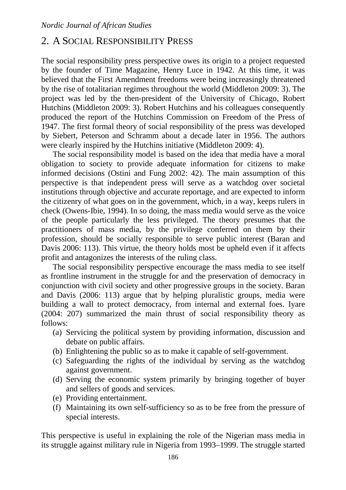# 2. A SOCIAL RESPONSIBILITY PRESS

The social responsibility press perspective owes its origin to a project requested by the founder of Time Magazine, Henry Luce in 1942. At this time, it was believed that the First Amendment freedoms were being increasingly threatened by the rise of totalitarian regimes throughout the world (Middleton 2009: 3). The project was led by the then-president of the University of Chicago, Robert Hutchins (Middleton 2009: 3). Robert Hutchins and his colleagues consequently produced the report of the Hutchins Commission on Freedom of the Press of 1947. The first formal theory of social responsibility of the press was developed by Siebert, Peterson and Schramm about a decade later in 1956. The authors were clearly inspired by the Hutchins initiative (Middleton 2009: 4).

The social responsibility model is based on the idea that media have a moral obligation to society to provide adequate information for citizens to make informed decisions (Ostini and Fung 2002: 42). The main assumption of this perspective is that independent press will serve as a watchdog over societal institutions through objective and accurate reportage, and are expected to inform the citizenry of what goes on in the government, which, in a way, keeps rulers in check (Owens-Ibie, 1994). In so doing, the mass media would serve as the voice of the people particularly the less privileged. The theory presumes that the practitioners of mass media, by the privilege conferred on them by their profession, should be socially responsible to serve public interest (Baran and Davis 2006: 113). This virtue, the theory holds most be upheld even if it affects profit and antagonizes the interests of the ruling class.

The social responsibility perspective encourage the mass media to see itself as frontline instrument in the struggle for and the preservation of democracy in conjunction with civil society and other progressive groups in the society. Baran and Davis (2006: 113) argue that by helping pluralistic groups, media were building a wall to protect democracy, from internal and external foes. Iyare (2004: 207) summarized the main thrust of social responsibility theory as follows:

- (a) Servicing the political system by providing information, discussion and debate on public affairs.
- (b) Enlightening the public so as to make it capable of self-government.
- (c) Safeguarding the rights of the individual by serving as the watchdog against government.
- (d) Serving the economic system primarily by bringing together of buyer and sellers of goods and services.
- (e) Providing entertainment.
- (f) Maintaining its own self-sufficiency so as to be free from the pressure of special interests.

This perspective is useful in explaining the role of the Nigerian mass media in its struggle against military rule in Nigeria from 1993–1999. The struggle started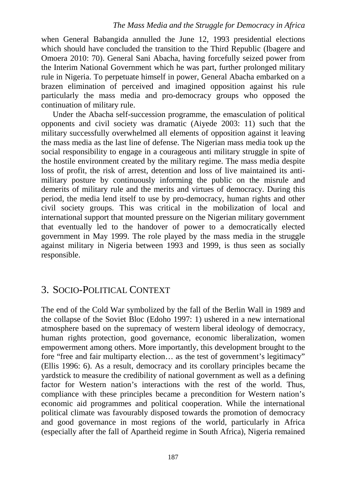#### *The Mass Media and the Struggle for Democracy in Africa*

when General Babangida annulled the June 12, 1993 presidential elections which should have concluded the transition to the Third Republic (Ibagere and Omoera 2010: 70). General Sani Abacha, having forcefully seized power from the Interim National Government which he was part, further prolonged military rule in Nigeria. To perpetuate himself in power, General Abacha embarked on a brazen elimination of perceived and imagined opposition against his rule particularly the mass media and pro-democracy groups who opposed the continuation of military rule.

Under the Abacha self-succession programme, the emasculation of political opponents and civil society was dramatic (Aiyede 2003: 11) such that the military successfully overwhelmed all elements of opposition against it leaving the mass media as the last line of defense. The Nigerian mass media took up the social responsibility to engage in a courageous anti military struggle in spite of the hostile environment created by the military regime. The mass media despite loss of profit, the risk of arrest, detention and loss of live maintained its antimilitary posture by continuously informing the public on the misrule and demerits of military rule and the merits and virtues of democracy. During this period, the media lend itself to use by pro-democracy, human rights and other civil society groups. This was critical in the mobilization of local and international support that mounted pressure on the Nigerian military government that eventually led to the handover of power to a democratically elected government in May 1999. The role played by the mass media in the struggle against military in Nigeria between 1993 and 1999, is thus seen as socially responsible.

# 3. SOCIO-POLITICAL CONTEXT

The end of the Cold War symbolized by the fall of the Berlin Wall in 1989 and the collapse of the Soviet Bloc (Edoho 1997: 1) ushered in a new international atmosphere based on the supremacy of western liberal ideology of democracy, human rights protection, good governance, economic liberalization, women empowerment among others. More importantly, this development brought to the fore "free and fair multiparty election… as the test of government's legitimacy" (Ellis 1996: 6). As a result, democracy and its corollary principles became the yardstick to measure the credibility of national government as well as a defining factor for Western nation's interactions with the rest of the world. Thus, compliance with these principles became a precondition for Western nation's economic aid programmes and political cooperation. While the international political climate was favourably disposed towards the promotion of democracy and good governance in most regions of the world, particularly in Africa (especially after the fall of Apartheid regime in South Africa), Nigeria remained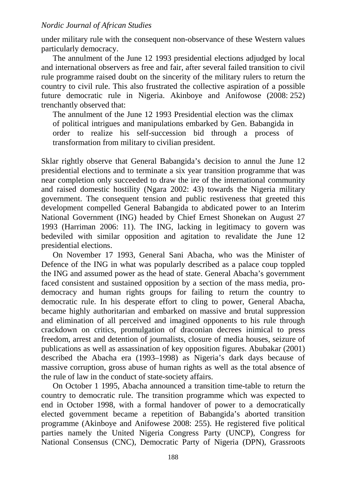under military rule with the consequent non-observance of these Western values particularly democracy.

The annulment of the June 12 1993 presidential elections adjudged by local and international observers as free and fair, after several failed transition to civil rule programme raised doubt on the sincerity of the military rulers to return the country to civil rule. This also frustrated the collective aspiration of a possible future democratic rule in Nigeria. Akinboye and Anifowose (2008: 252) trenchantly observed that:

The annulment of the June 12 1993 Presidential election was the climax of political intrigues and manipulations embarked by Gen. Babangida in order to realize his self-succession bid through a process of transformation from military to civilian president.

Sklar rightly observe that General Babangida's decision to annul the June 12 presidential elections and to terminate a six year transition programme that was near completion only succeeded to draw the ire of the international community and raised domestic hostility (Ngara 2002: 43) towards the Nigeria military government. The consequent tension and public restiveness that greeted this development compelled General Babangida to abdicated power to an Interim National Government (ING) headed by Chief Ernest Shonekan on August 27 1993 (Harriman 2006: 11). The ING, lacking in legitimacy to govern was bedeviled with similar opposition and agitation to revalidate the June 12 presidential elections.

On November 17 1993, General Sani Abacha, who was the Minister of Defence of the ING in what was popularly described as a palace coup toppled the ING and assumed power as the head of state. General Abacha's government faced consistent and sustained opposition by a section of the mass media, prodemocracy and human rights groups for failing to return the country to democratic rule. In his desperate effort to cling to power, General Abacha, became highly authoritarian and embarked on massive and brutal suppression and elimination of all perceived and imagined opponents to his rule through crackdown on critics, promulgation of draconian decrees inimical to press freedom, arrest and detention of journalists, closure of media houses, seizure of publications as well as assassination of key opposition figures. Abubakar (2001) described the Abacha era (1993–1998) as Nigeria's dark days because of massive corruption, gross abuse of human rights as well as the total absence of the rule of law in the conduct of state-society affairs.

On October 1 1995, Abacha announced a transition time-table to return the country to democratic rule. The transition programme which was expected to end in October 1998, with a formal handover of power to a democratically elected government became a repetition of Babangida's aborted transition programme (Akinboye and Anifowese 2008: 255). He registered five political parties namely the United Nigeria Congress Party (UNCP), Congress for National Consensus (CNC), Democratic Party of Nigeria (DPN), Grassroots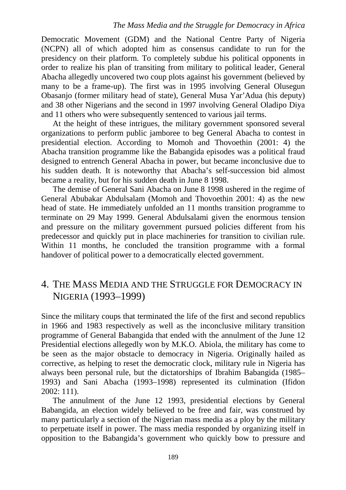#### *The Mass Media and the Struggle for Democracy in Africa*

Democratic Movement (GDM) and the National Centre Party of Nigeria (NCPN) all of which adopted him as consensus candidate to run for the presidency on their platform. To completely subdue his political opponents in order to realize his plan of transiting from military to political leader, General Abacha allegedly uncovered two coup plots against his government (believed by many to be a frame-up). The first was in 1995 involving General Olusegun Obasanjo (former military head of state), General Musa Yar'Adua (his deputy) and 38 other Nigerians and the second in 1997 involving General Oladipo Diya and 11 others who were subsequently sentenced to various jail terms.

At the height of these intrigues, the military government sponsored several organizations to perform public jamboree to beg General Abacha to contest in presidential election. According to Momoh and Thovoethin (2001: 4) the Abacha transition programme like the Babangida episodes was a political fraud designed to entrench General Abacha in power, but became inconclusive due to his sudden death. It is noteworthy that Abacha's self-succession bid almost became a reality, but for his sudden death in June 8 1998.

The demise of General Sani Abacha on June 8 1998 ushered in the regime of General Abubakar Abdulsalam (Momoh and Thovoethin 2001: 4) as the new head of state. He immediately unfolded an 11 months transition programme to terminate on 29 May 1999. General Abdulsalami given the enormous tension and pressure on the military government pursued policies different from his predecessor and quickly put in place machineries for transition to civilian rule. Within 11 months, he concluded the transition programme with a formal handover of political power to a democratically elected government.

# 4. THE MASS MEDIA AND THE STRUGGLE FOR DEMOCRACY IN NIGERIA (1993–1999)

Since the military coups that terminated the life of the first and second republics in 1966 and 1983 respectively as well as the inconclusive military transition programme of General Babangida that ended with the annulment of the June 12 Presidential elections allegedly won by M.K.O. Abiola, the military has come to be seen as the major obstacle to democracy in Nigeria. Originally hailed as corrective, as helping to reset the democratic clock, military rule in Nigeria has always been personal rule, but the dictatorships of Ibrahim Babangida (1985– 1993) and Sani Abacha (1993–1998) represented its culmination (Ifidon 2002: 111).

The annulment of the June 12 1993, presidential elections by General Babangida, an election widely believed to be free and fair, was construed by many particularly a section of the Nigerian mass media as a ploy by the military to perpetuate itself in power. The mass media responded by organizing itself in opposition to the Babangida's government who quickly bow to pressure and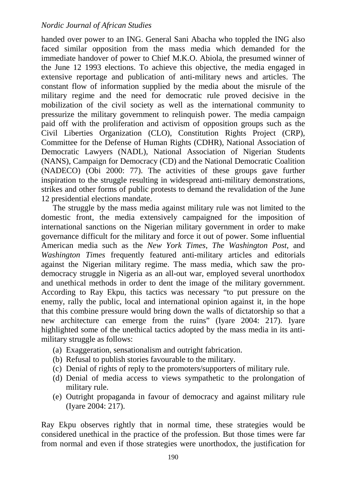handed over power to an ING. General Sani Abacha who toppled the ING also faced similar opposition from the mass media which demanded for the immediate handover of power to Chief M.K.O. Abiola, the presumed winner of the June 12 1993 elections. To achieve this objective, the media engaged in extensive reportage and publication of anti-military news and articles. The constant flow of information supplied by the media about the misrule of the military regime and the need for democratic rule proved decisive in the mobilization of the civil society as well as the international community to pressurize the military government to relinquish power. The media campaign paid off with the proliferation and activism of opposition groups such as the Civil Liberties Organization (CLO), Constitution Rights Project (CRP), Committee for the Defense of Human Rights (CDHR), National Association of Democratic Lawyers (NADL), National Association of Nigerian Students (NANS), Campaign for Democracy (CD) and the National Democratic Coalition (NADECO) (Obi 2000: 77). The activities of these groups gave further inspiration to the struggle resulting in widespread anti-military demonstrations, strikes and other forms of public protests to demand the revalidation of the June 12 presidential elections mandate.

The struggle by the mass media against military rule was not limited to the domestic front, the media extensively campaigned for the imposition of international sanctions on the Nigerian military government in order to make governance difficult for the military and force it out of power. Some influential American media such as the *New York Times*, *The Washington Post*, and *Washington Times* frequently featured anti-military articles and editorials against the Nigerian military regime. The mass media, which saw the prodemocracy struggle in Nigeria as an all-out war, employed several unorthodox and unethical methods in order to dent the image of the military government. According to Ray Ekpu, this tactics was necessary "to put pressure on the enemy, rally the public, local and international opinion against it, in the hope that this combine pressure would bring down the walls of dictatorship so that a new architecture can emerge from the ruins" (Iyare 2004: 217). Iyare highlighted some of the unethical tactics adopted by the mass media in its antimilitary struggle as follows:

- (a) Exaggeration, sensationalism and outright fabrication.
- (b) Refusal to publish stories favourable to the military.
- (c) Denial of rights of reply to the promoters/supporters of military rule.
- (d) Denial of media access to views sympathetic to the prolongation of military rule.
- (e) Outright propaganda in favour of democracy and against military rule (Iyare 2004: 217).

Ray Ekpu observes rightly that in normal time, these strategies would be considered unethical in the practice of the profession. But those times were far from normal and even if those strategies were unorthodox, the justification for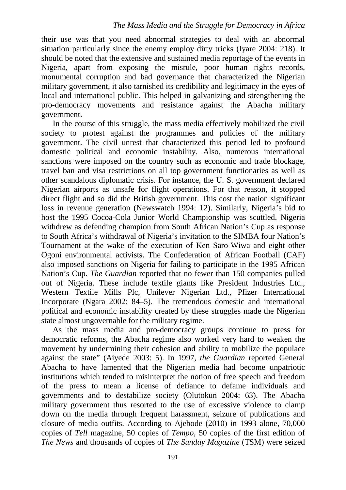their use was that you need abnormal strategies to deal with an abnormal situation particularly since the enemy employ dirty tricks (Iyare 2004: 218). It should be noted that the extensive and sustained media reportage of the events in Nigeria, apart from exposing the misrule, poor human rights records, monumental corruption and bad governance that characterized the Nigerian military government, it also tarnished its credibility and legitimacy in the eyes of local and international public. This helped in galvanizing and strengthening the pro-democracy movements and resistance against the Abacha military government.

In the course of this struggle, the mass media effectively mobilized the civil society to protest against the programmes and policies of the military government. The civil unrest that characterized this period led to profound domestic political and economic instability. Also, numerous international sanctions were imposed on the country such as economic and trade blockage, travel ban and visa restrictions on all top government functionaries as well as other scandalous diplomatic crisis. For instance, the U. S. government declared Nigerian airports as unsafe for flight operations. For that reason, it stopped direct flight and so did the British government. This cost the nation significant loss in revenue generation (Newswatch 1994: 12). Similarly, Nigeria's bid to host the 1995 Cocoa-Cola Junior World Championship was scuttled. Nigeria withdrew as defending champion from South African Nation's Cup as response to South Africa's withdrawal of Nigeria's invitation to the SIMBA four Nation's Tournament at the wake of the execution of Ken Saro-Wiwa and eight other Ogoni environmental activists. The Confederation of African Football (CAF) also imposed sanctions on Nigeria for failing to participate in the 1995 African Nation's Cup. *The Guardian* reported that no fewer than 150 companies pulled out of Nigeria. These include textile giants like President Industries Ltd., Western Textile Mills Plc, Unilever Nigerian Ltd., Pfizer International Incorporate (Ngara 2002: 84–5). The tremendous domestic and international political and economic instability created by these struggles made the Nigerian state almost ungovernable for the military regime.

As the mass media and pro-democracy groups continue to press for democratic reforms, the Abacha regime also worked very hard to weaken the movement by undermining their cohesion and ability to mobilize the populace against the state" (Aiyede 2003: 5). In 1997, *the Guardian* reported General Abacha to have lamented that the Nigerian media had become unpatriotic institutions which tended to misinterpret the notion of free speech and freedom of the press to mean a license of defiance to defame individuals and governments and to destabilize society (Olutokun 2004: 63). The Abacha military government thus resorted to the use of excessive violence to clamp down on the media through frequent harassment, seizure of publications and closure of media outfits. According to Ajebode (2010) in 1993 alone, 70,000 copies of *Tell* magazine, 50 copies of *Tempo*, 50 copies of the first edition of *The News* and thousands of copies of *The Sunday Magazine* (TSM) were seized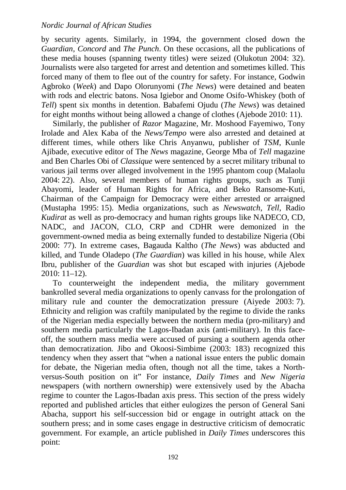by security agents. Similarly, in 1994, the government closed down the *Guardian, Concord* and *The Punch*. On these occasions, all the publications of these media houses (spanning twenty titles) were seized (Olukotun 2004: 32). Journalists were also targeted for arrest and detention and sometimes killed. This forced many of them to flee out of the country for safety. For instance, Godwin Agbroko (*Week*) and Dapo Olorunyomi (*The News*) were detained and beaten with rods and electric batons. Nosa Igiebor and Onome Osifo-Whiskey (both of *Tell*) spent six months in detention. Babafemi Ojudu (*The News*) was detained for eight months without being allowed a change of clothes (Ajebode 2010: 11).

Similarly, the publisher of *Razor* Magazine, Mr. Moshood Fayemiwo, Tony Irolade and Alex Kaba of the *News/Tempo* were also arrested and detained at different times, while others like Chris Anyanwu, publisher of *TSM*, Kunle Ajibade, executive editor of The *News* magazine, George Mba of *Tell* magazine and Ben Charles Obi of *Classique* were sentenced by a secret military tribunal to various jail terms over alleged involvement in the 1995 phantom coup (Malaolu 2004: 22). Also, several members of human rights groups, such as Tunji Abayomi, leader of Human Rights for Africa, and Beko Ransome-Kuti, Chairman of the Campaign for Democracy were either arrested or arraigned (Mustapha 1995: 15). Media organizations, such as *Newswatch*, *Tell*, Radio *Kudirat* as well as pro-democracy and human rights groups like NADECO, CD, NADC, and JACON, CLO, CRP and CDHR were demonized in the government-owned media as being externally funded to destabilize Nigeria (Obi 2000: 77). In extreme cases, Bagauda Kaltho (*The News*) was abducted and killed, and Tunde Oladepo (*The Guardian*) was killed in his house, while Alex Ibru, publisher of the *Guardian* was shot but escaped with injuries (Ajebode 2010: 11–12).

To counterweight the independent media, the military government bankrolled several media organizations to openly canvass for the prolongation of military rule and counter the democratization pressure (Aiyede 2003: 7). Ethnicity and religion was craftily manipulated by the regime to divide the ranks of the Nigerian media especially between the northern media (pro-military) and southern media particularly the Lagos-Ibadan axis (anti-military). In this faceoff, the southern mass media were accused of pursing a southern agenda other than democratization*.* Jibo and Okoosi-Simbime (2003: 183) recognized this tendency when they assert that "when a national issue enters the public domain for debate, the Nigerian media often, though not all the time, takes a Northversus-South position on it" For instance, *Daily Times* and *New Nigeria* newspapers (with northern ownership) were extensively used by the Abacha regime to counter the Lagos-Ibadan axis press. This section of the press widely reported and published articles that either eulogizes the person of General Sani Abacha, support his self-succession bid or engage in outright attack on the southern press; and in some cases engage in destructive criticism of democratic government. For example, an article published in *Daily Times* underscores this point: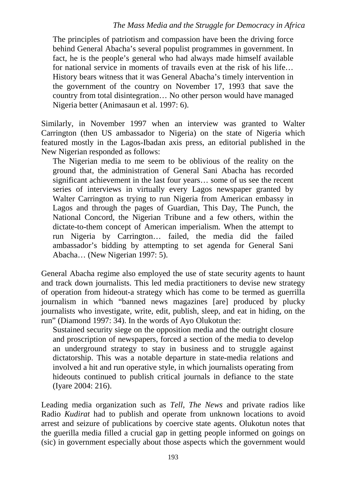#### *The Mass Media and the Struggle for Democracy in Africa*

The principles of patriotism and compassion have been the driving force behind General Abacha's several populist programmes in government. In fact, he is the people's general who had always made himself available for national service in moments of travails even at the risk of his life… History bears witness that it was General Abacha's timely intervention in the government of the country on November 17, 1993 that save the country from total disintegration… No other person would have managed Nigeria better (Animasaun et al. 1997: 6).

Similarly, in November 1997 when an interview was granted to Walter Carrington (then US ambassador to Nigeria) on the state of Nigeria which featured mostly in the Lagos-Ibadan axis press, an editorial published in the New Nigerian responded as follows:

The Nigerian media to me seem to be oblivious of the reality on the ground that, the administration of General Sani Abacha has recorded significant achievement in the last four years… some of us see the recent series of interviews in virtually every Lagos newspaper granted by Walter Carrington as trying to run Nigeria from American embassy in Lagos and through the pages of Guardian, This Day, The Punch, the National Concord, the Nigerian Tribune and a few others, within the dictate-to-them concept of American imperialism. When the attempt to run Nigeria by Carrington… failed, the media did the failed ambassador's bidding by attempting to set agenda for General Sani Abacha… (New Nigerian 1997: 5).

General Abacha regime also employed the use of state security agents to haunt and track down journalists. This led media practitioners to devise new strategy of operation from hideout-a strategy which has come to be termed as guerrilla journalism in which "banned news magazines [are] produced by plucky journalists who investigate, write, edit, publish, sleep, and eat in hiding, on the run" (Diamond 1997: 34). In the words of Ayo Olukotun the:

Sustained security siege on the opposition media and the outright closure and proscription of newspapers, forced a section of the media to develop an underground strategy to stay in business and to struggle against dictatorship. This was a notable departure in state-media relations and involved a hit and run operative style, in which journalists operating from hideouts continued to publish critical journals in defiance to the state (Iyare 2004: 216).

Leading media organization such as *Tell*, *The News* and private radios like Radio *Kudirat* had to publish and operate from unknown locations to avoid arrest and seizure of publications by coercive state agents. Olukotun notes that the guerilla media filled a crucial gap in getting people informed on goings on (sic) in government especially about those aspects which the government would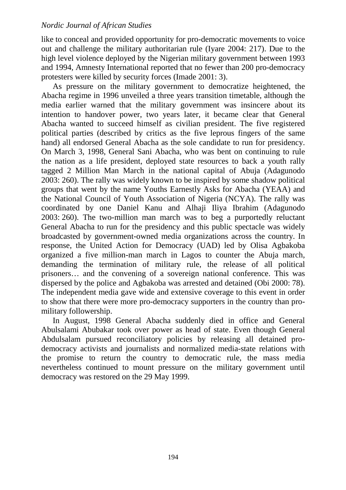like to conceal and provided opportunity for pro-democratic movements to voice out and challenge the military authoritarian rule (Iyare 2004: 217). Due to the high level violence deployed by the Nigerian military government between 1993 and 1994, Amnesty International reported that no fewer than 200 pro-democracy protesters were killed by security forces (Imade 2001: 3).

As pressure on the military government to democratize heightened, the Abacha regime in 1996 unveiled a three years transition timetable, although the media earlier warned that the military government was insincere about its intention to handover power, two years later, it became clear that General Abacha wanted to succeed himself as civilian president. The five registered political parties (described by critics as the five leprous fingers of the same hand) all endorsed General Abacha as the sole candidate to run for presidency. On March 3, 1998, General Sani Abacha, who was bent on continuing to rule the nation as a life president, deployed state resources to back a youth rally tagged 2 Million Man March in the national capital of Abuja (Adagunodo 2003: 260). The rally was widely known to be inspired by some shadow political groups that went by the name Youths Earnestly Asks for Abacha (YEAA) and the National Council of Youth Association of Nigeria (NCYA). The rally was coordinated by one Daniel Kanu and Alhaji Iliya Ibrahim (Adagunodo 2003: 260). The two-million man march was to beg a purportedly reluctant General Abacha to run for the presidency and this public spectacle was widely broadcasted by government-owned media organizations across the country. In response, the United Action for Democracy (UAD) led by Olisa Agbakoba organized a five million-man march in Lagos to counter the Abuja march, demanding the termination of military rule, the release of all political prisoners… and the convening of a sovereign national conference. This was dispersed by the police and Agbakoba was arrested and detained (Obi 2000: 78). The independent media gave wide and extensive coverage to this event in order to show that there were more pro-democracy supporters in the country than promilitary followership.

In August, 1998 General Abacha suddenly died in office and General Abulsalami Abubakar took over power as head of state. Even though General Abdulsalam pursued reconciliatory policies by releasing all detained prodemocracy activists and journalists and normalized media-state relations with the promise to return the country to democratic rule, the mass media nevertheless continued to mount pressure on the military government until democracy was restored on the 29 May 1999.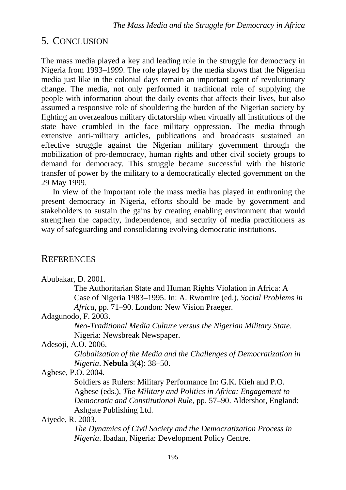# 5. CONCLUSION

The mass media played a key and leading role in the struggle for democracy in Nigeria from 1993–1999. The role played by the media shows that the Nigerian media just like in the colonial days remain an important agent of revolutionary change. The media, not only performed it traditional role of supplying the people with information about the daily events that affects their lives, but also assumed a responsive role of shouldering the burden of the Nigerian society by fighting an overzealous military dictatorship when virtually all institutions of the state have crumbled in the face military oppression. The media through extensive anti-military articles, publications and broadcasts sustained an effective struggle against the Nigerian military government through the mobilization of pro-democracy, human rights and other civil society groups to demand for democracy. This struggle became successful with the historic transfer of power by the military to a democratically elected government on the 29 May 1999.

In view of the important role the mass media has played in enthroning the present democracy in Nigeria, efforts should be made by government and stakeholders to sustain the gains by creating enabling environment that would strengthen the capacity, independence, and security of media practitioners as way of safeguarding and consolidating evolving democratic institutions.

# **REFERENCES**

Abubakar, D. 2001.

The Authoritarian State and Human Rights Violation in Africa: A Case of Nigeria 1983–1995. In: A. Rwomire (ed.), *Social Problems in Africa*, pp. 71–90. London: New Vision Praeger.

Adagunodo, F. 2003.

*Neo-Traditional Media Culture versus the Nigerian Military State*. Nigeria: Newsbreak Newspaper.

Adesoji, A.O. 2006.

*Globalization of the Media and the Challenges of Democratization in Nigeria*. **Nebula** 3(4): 38–50.

Agbese, P.O. 2004.

Soldiers as Rulers: Military Performance In: G.K. Kieh and P.O. Agbese (eds.), *The Military and Politics in Africa: Engagement to Democratic and Constitutional Rule*, pp. 57–90. Aldershot, England: Ashgate Publishing Ltd.

Aiyede, R. 2003.

*The Dynamics of Civil Society and the Democratization Process in Nigeria*. Ibadan*,* Nigeria: Development Policy Centre.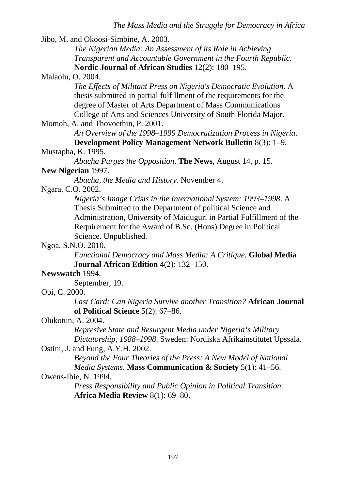Jibo, M. and Okoosi-Simbine, A. 2003.

*The Nigerian Media: An Assessment of its Role in Achieving Transparent and Accountable Government in the Fourth Republic*. **Nordic Journal of African Studies** 12(2): 180–195.

Malaolu, O. 2004.

*The Effects of Militant Press on Nigeria's Democratic Evolution*. A thesis submitted in partial fulfillment of the requirements for the degree of Master of Arts Department of Mass Communications College of Arts and Sciences University of South Florida Major.

Momoh, A. and Thovoethin, P. 2001.

*An Overview of the 1998–1999 Democratization Process in Nigeria*. **Development Policy Management Network Bulletin** 8(3): 1–9.

### Mustapha, K. 1995.

*Abacha Purges the Opposition*. **The News**, August 14, p. 15.

### **New Nigerian** 1997.

*Abacha, the Media and History*. November 4.

Ngara, C.O. 2002.

*Nigeria's Image Crisis in the International System: 1993–1998*. A Thesis Submitted to the Department of political Science and Administration, University of Maiduguri in Partial Fulfillment of the Requirement for the Award of B.Sc. (Hons) Degree in Political Science. Unpublished.

### Ngoa, S.N.O. 2010.

*Functional Democracy and Mass Media: A Critique.* **Global Media Journal African Edition** 4(2): 132–150.

# **Newswatch** 1994.

September, 19.

# Obi, C. 2000.

*Last Card: Can Nigeria Survive another Transition?* **African Journal of Political Science** 5(2): 67–86.

# Olukotun, A. 2004.

*Represive State and Resurgent Media under Nigeria's Military Dictatorship, 1988–1998*. Sweden: Nordiska Afrikainstitutet Upssala.

### Ostini, J. and Fung, A.Y.H. 2002.

*Beyond the Four Theories of the Press: A New Model of National Media Systems*. **Mass Communication & Society** 5(1): 41–56.

# Owens-Ibie, N. 1994.

*Press Responsibility and Public Opinion in Political Transition*. **Africa Media Review** 8(1): 69–80.